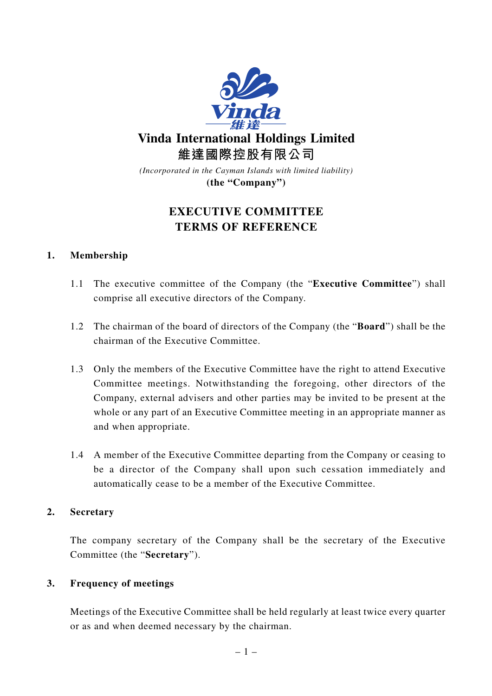

# **EXECUTIVE COMMITTEE TERMS OF REFERENCE**

# **1. Membership**

- 1.1 The executive committee of the Company (the "**Executive Committee**") shall comprise all executive directors of the Company.
- 1.2 The chairman of the board of directors of the Company (the "**Board**") shall be the chairman of the Executive Committee.
- 1.3 Only the members of the Executive Committee have the right to attend Executive Committee meetings. Notwithstanding the foregoing, other directors of the Company, external advisers and other parties may be invited to be present at the whole or any part of an Executive Committee meeting in an appropriate manner as and when appropriate.
- 1.4 A member of the Executive Committee departing from the Company or ceasing to be a director of the Company shall upon such cessation immediately and automatically cease to be a member of the Executive Committee.

# **2. Secretary**

The company secretary of the Company shall be the secretary of the Executive Committee (the "**Secretary**").

# **3. Frequency of meetings**

Meetings of the Executive Committee shall be held regularly at least twice every quarter or as and when deemed necessary by the chairman.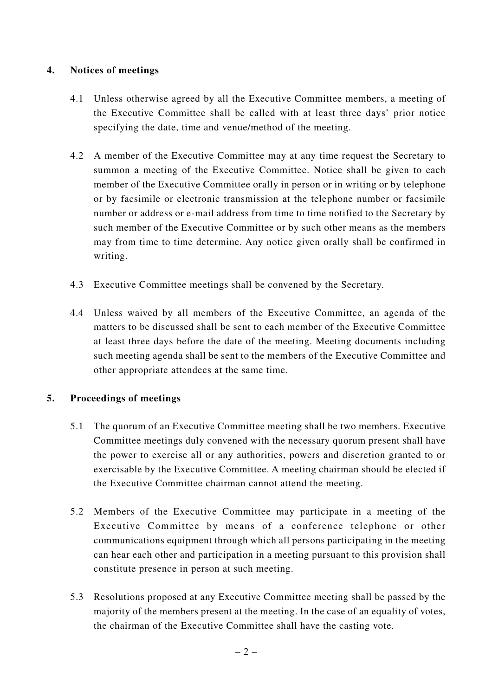# **4. Notices of meetings**

- 4.1 Unless otherwise agreed by all the Executive Committee members, a meeting of the Executive Committee shall be called with at least three days' prior notice specifying the date, time and venue/method of the meeting.
- 4.2 A member of the Executive Committee may at any time request the Secretary to summon a meeting of the Executive Committee. Notice shall be given to each member of the Executive Committee orally in person or in writing or by telephone or by facsimile or electronic transmission at the telephone number or facsimile number or address or e-mail address from time to time notified to the Secretary by such member of the Executive Committee or by such other means as the members may from time to time determine. Any notice given orally shall be confirmed in writing.
- 4.3 Executive Committee meetings shall be convened by the Secretary.
- 4.4 Unless waived by all members of the Executive Committee, an agenda of the matters to be discussed shall be sent to each member of the Executive Committee at least three days before the date of the meeting. Meeting documents including such meeting agenda shall be sent to the members of the Executive Committee and other appropriate attendees at the same time.

# **5. Proceedings of meetings**

- 5.1 The quorum of an Executive Committee meeting shall be two members. Executive Committee meetings duly convened with the necessary quorum present shall have the power to exercise all or any authorities, powers and discretion granted to or exercisable by the Executive Committee. A meeting chairman should be elected if the Executive Committee chairman cannot attend the meeting.
- 5.2 Members of the Executive Committee may participate in a meeting of the Executive Committee by means of a conference telephone or other communications equipment through which all persons participating in the meeting can hear each other and participation in a meeting pursuant to this provision shall constitute presence in person at such meeting.
- 5.3 Resolutions proposed at any Executive Committee meeting shall be passed by the majority of the members present at the meeting. In the case of an equality of votes, the chairman of the Executive Committee shall have the casting vote.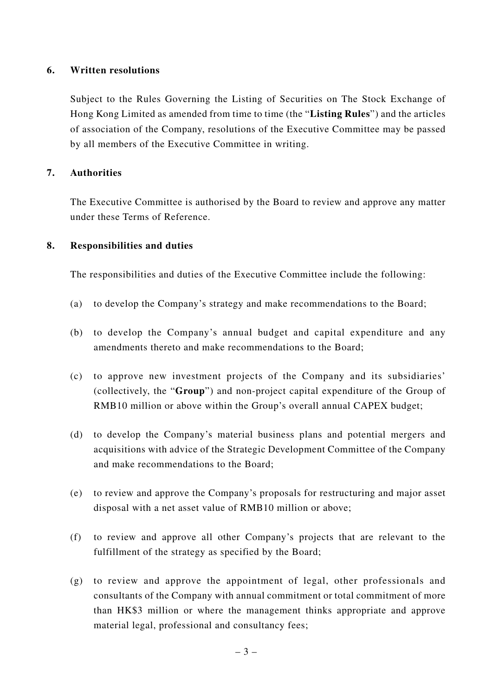### **6. Written resolutions**

Subject to the Rules Governing the Listing of Securities on The Stock Exchange of Hong Kong Limited as amended from time to time (the "**Listing Rules**") and the articles of association of the Company, resolutions of the Executive Committee may be passed by all members of the Executive Committee in writing.

#### **7. Authorities**

The Executive Committee is authorised by the Board to review and approve any matter under these Terms of Reference.

#### **8. Responsibilities and duties**

The responsibilities and duties of the Executive Committee include the following:

- (a) to develop the Company's strategy and make recommendations to the Board;
- (b) to develop the Company's annual budget and capital expenditure and any amendments thereto and make recommendations to the Board;
- (c) to approve new investment projects of the Company and its subsidiaries' (collectively, the "**Group**") and non-project capital expenditure of the Group of RMB10 million or above within the Group's overall annual CAPEX budget;
- (d) to develop the Company's material business plans and potential mergers and acquisitions with advice of the Strategic Development Committee of the Company and make recommendations to the Board;
- (e) to review and approve the Company's proposals for restructuring and major asset disposal with a net asset value of RMB10 million or above;
- (f) to review and approve all other Company's projects that are relevant to the fulfillment of the strategy as specified by the Board;
- (g) to review and approve the appointment of legal, other professionals and consultants of the Company with annual commitment or total commitment of more than HK\$3 million or where the management thinks appropriate and approve material legal, professional and consultancy fees;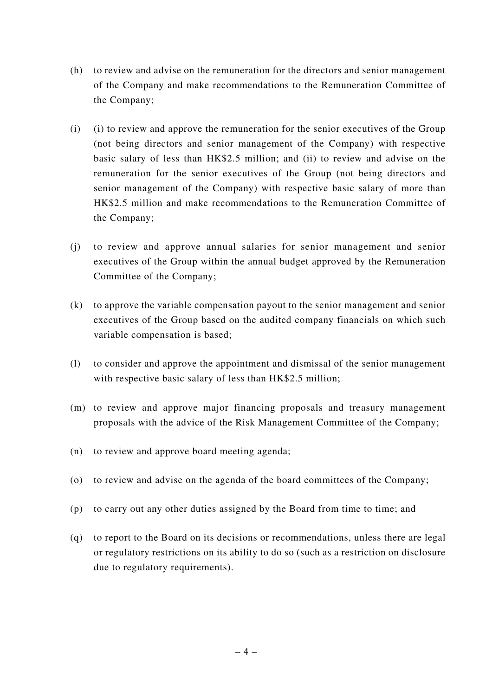- (h) to review and advise on the remuneration for the directors and senior management of the Company and make recommendations to the Remuneration Committee of the Company;
- (i) (i) to review and approve the remuneration for the senior executives of the Group (not being directors and senior management of the Company) with respective basic salary of less than HK\$2.5 million; and (ii) to review and advise on the remuneration for the senior executives of the Group (not being directors and senior management of the Company) with respective basic salary of more than HK\$2.5 million and make recommendations to the Remuneration Committee of the Company;
- (j) to review and approve annual salaries for senior management and senior executives of the Group within the annual budget approved by the Remuneration Committee of the Company;
- (k) to approve the variable compensation payout to the senior management and senior executives of the Group based on the audited company financials on which such variable compensation is based;
- (l) to consider and approve the appointment and dismissal of the senior management with respective basic salary of less than HK\$2.5 million;
- (m) to review and approve major financing proposals and treasury management proposals with the advice of the Risk Management Committee of the Company;
- (n) to review and approve board meeting agenda;
- (o) to review and advise on the agenda of the board committees of the Company;
- (p) to carry out any other duties assigned by the Board from time to time; and
- (q) to report to the Board on its decisions or recommendations, unless there are legal or regulatory restrictions on its ability to do so (such as a restriction on disclosure due to regulatory requirements).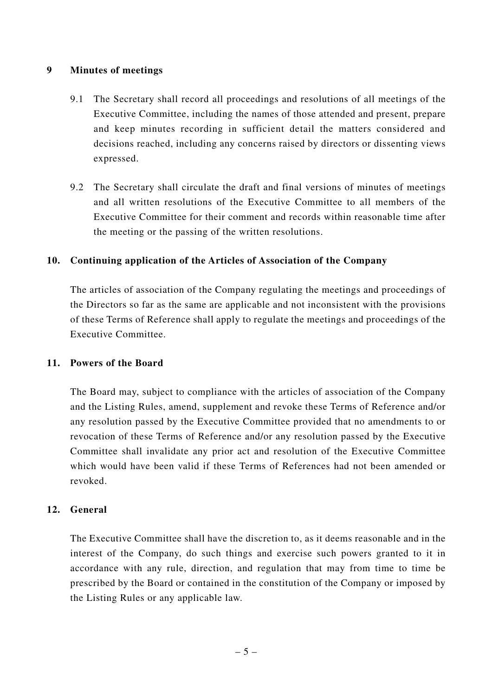### **9 Minutes of meetings**

- 9.1 The Secretary shall record all proceedings and resolutions of all meetings of the Executive Committee, including the names of those attended and present, prepare and keep minutes recording in sufficient detail the matters considered and decisions reached, including any concerns raised by directors or dissenting views expressed.
- 9.2 The Secretary shall circulate the draft and final versions of minutes of meetings and all written resolutions of the Executive Committee to all members of the Executive Committee for their comment and records within reasonable time after the meeting or the passing of the written resolutions.

# **10. Continuing application of the Articles of Association of the Company**

The articles of association of the Company regulating the meetings and proceedings of the Directors so far as the same are applicable and not inconsistent with the provisions of these Terms of Reference shall apply to regulate the meetings and proceedings of the Executive Committee.

#### **11. Powers of the Board**

The Board may, subject to compliance with the articles of association of the Company and the Listing Rules, amend, supplement and revoke these Terms of Reference and/or any resolution passed by the Executive Committee provided that no amendments to or revocation of these Terms of Reference and/or any resolution passed by the Executive Committee shall invalidate any prior act and resolution of the Executive Committee which would have been valid if these Terms of References had not been amended or revoked.

#### **12. General**

The Executive Committee shall have the discretion to, as it deems reasonable and in the interest of the Company, do such things and exercise such powers granted to it in accordance with any rule, direction, and regulation that may from time to time be prescribed by the Board or contained in the constitution of the Company or imposed by the Listing Rules or any applicable law.